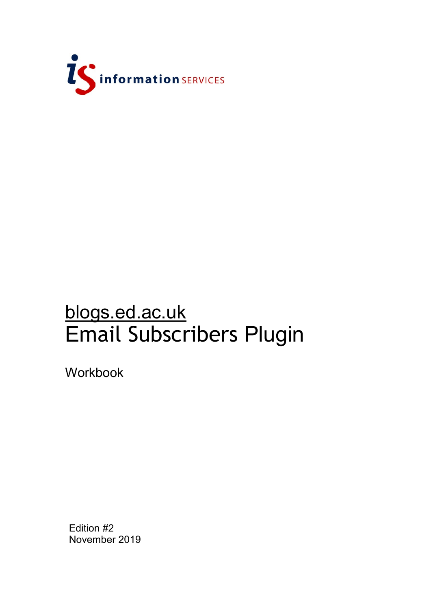

# blogs.ed.ac.uk Email Subscribers Plugin

Workbook

Edition #2 November 2019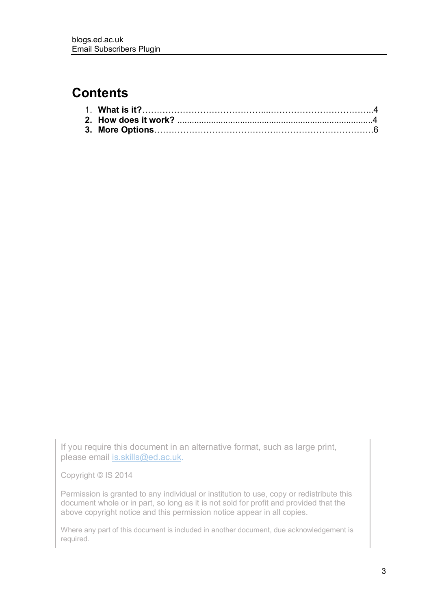# **Contents**

If you require this document in an alternative format, such as large print, please email [is.skills@ed.ac.uk.](mailto:is.skills@ed.ac.uk)

Copyright © IS 2014

Permission is granted to any individual or institution to use, copy or redistribute this document whole or in part, so long as it is not sold for profit and provided that the above copyright notice and this permission notice appear in all copies.

Where any part of this document is included in another document, due acknowledgement is required.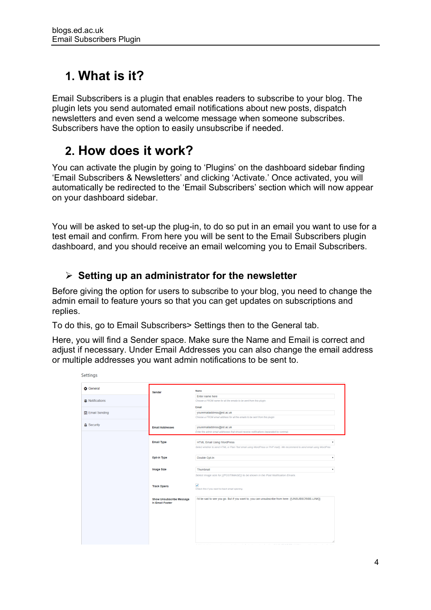# **1. What is it?**

Email Subscribers is a plugin that enables readers to subscribe to your blog. The plugin lets you send automated email notifications about new posts, dispatch newsletters and even send a welcome message when someone subscribes. Subscribers have the option to easily unsubscribe if needed.

# **2. How does it work?**

You can activate the plugin by going to 'Plugins' on the dashboard sidebar finding 'Email Subscribers & Newsletters' and clicking 'Activate.' Once activated, you will automatically be redirected to the 'Email Subscribers' section which will now appear on your dashboard sidebar.

You will be asked to set-up the plug-in, to do so put in an email you want to use for a test email and confirm. From here you will be sent to the Email Subscribers plugin dashboard, and you should receive an email welcoming you to Email Subscribers.

## **Setting up an administrator for the newsletter**

Before giving the option for users to subscribe to your blog, you need to change the admin email to feature yours so that you can get updates on subscriptions and replies.

To do this, go to Email Subscribers> Settings then to the General tab.

Here, you will find a Sender space. Make sure the Name and Email is correct and adjust if necessary. Under Email Addresses you can also change the email address or multiple addresses you want admin notifications to be sent to.

| <b>D</b> General  | <b>Sender</b>                   | Name                                                                                                                     |
|-------------------|---------------------------------|--------------------------------------------------------------------------------------------------------------------------|
|                   |                                 | Enter name here                                                                                                          |
| Wolffications     |                                 | Choose a FROM name for all the emails to be sent from this plugin.                                                       |
|                   |                                 | Email                                                                                                                    |
| 雷 Email Sending   |                                 | youremailaddress@ed.ac.uk                                                                                                |
|                   |                                 | Choose a FROM email address for all the emails to be sent from this plugin                                               |
| <b>A</b> Security | <b>Email Addresses</b>          | youremailaddress@ed.ac.uk                                                                                                |
|                   |                                 | Enter the admin email addresses that should receive notifications (separated by comma).                                  |
|                   |                                 |                                                                                                                          |
|                   | <b>Email Type</b>               | <b>HTML Email Using WordPress</b><br>٠                                                                                   |
|                   |                                 | Select whether to send HTML or Plain Text email using WordPress or PHP mail(). We recommend to send email using WordPres |
|                   |                                 |                                                                                                                          |
|                   | Opt-in Type                     | Double Opt-In<br>۰                                                                                                       |
|                   |                                 |                                                                                                                          |
|                   | <b>Image Size</b>               | Thumbnail                                                                                                                |
|                   |                                 | Select image size for {{POSTIMAGE}} to be shown in the Post Notification Emails.                                         |
|                   |                                 |                                                                                                                          |
|                   | <b>Track Opens</b>              | $\checkmark$                                                                                                             |
|                   |                                 | Check this if you want to track email opening.                                                                           |
|                   | <b>Show Unsubscribe Message</b> | I'd be sad to see you go. But if you want to, you can unsubscribe from here: {{UNSUBSCRIBE-LINK}}                        |
|                   | In Email Footer                 |                                                                                                                          |
|                   |                                 |                                                                                                                          |
|                   |                                 |                                                                                                                          |
|                   |                                 |                                                                                                                          |
|                   |                                 |                                                                                                                          |
|                   |                                 |                                                                                                                          |
|                   |                                 |                                                                                                                          |
|                   |                                 |                                                                                                                          |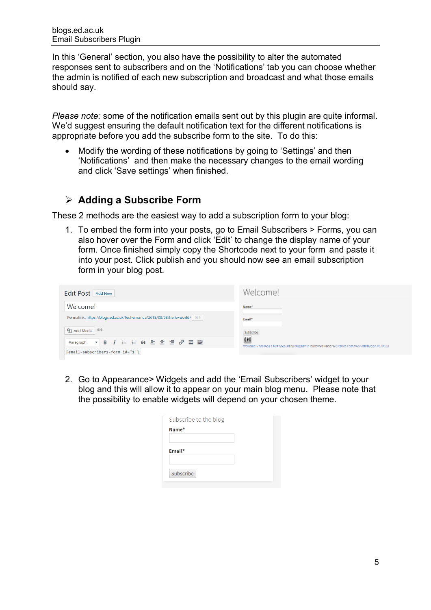In this 'General' section, you also have the possibility to alter the automated responses sent to subscribers and on the 'Notifications' tab you can choose whether the admin is notified of each new subscription and broadcast and what those emails should say.

*Please note:* some of the notification emails sent out by this plugin are quite informal. We'd suggest ensuring the default notification text for the different notifications is appropriate before you add the subscribe form to the site. To do this:

• Modify the wording of these notifications by going to 'Settings' and then 'Notifications' and then make the necessary changes to the email wording and click 'Save settings' when finished.

### **Adding a Subscribe Form**

These 2 methods are the easiest way to add a subscription form to your blog:

1. To embed the form into your posts, go to Email Subscribers > Forms, you can also hover over the Form and click 'Edit' to change the display name of your form. Once finished simply copy the Shortcode next to your form and paste it into your post. Click publish and you should now see an email subscription form in your blog post.

| Edit Post Add New                                                                                   | Welcome!                                                                                                         |  |  |
|-----------------------------------------------------------------------------------------------------|------------------------------------------------------------------------------------------------------------------|--|--|
| Welcome!                                                                                            | Name*                                                                                                            |  |  |
| Permalink: https://blogs.ed.ac.uk/test-amanda/2018/08/08/hello-world/ Edit                          | Email*                                                                                                           |  |  |
| <b>鸟</b> 】 Add Media (4)                                                                            | Subscribe                                                                                                        |  |  |
| Paragraph $\bullet$ <b>B</b> $I \equiv \equiv G \equiv \pm \equiv \mathscr{O} \equiv \equiv \equiv$ | 0.40<br>Welcome! / Amanda's Test Account by blogadmin is licensed under a Creative Commons Attribution CC BY 3.0 |  |  |
| [[email-subscribers-form id="1"]                                                                    |                                                                                                                  |  |  |

2. Go to Appearance> Widgets and add the 'Email Subscribers' widget to your blog and this will allow it to appear on your main blog menu. Please note that the possibility to enable widgets will depend on your chosen theme.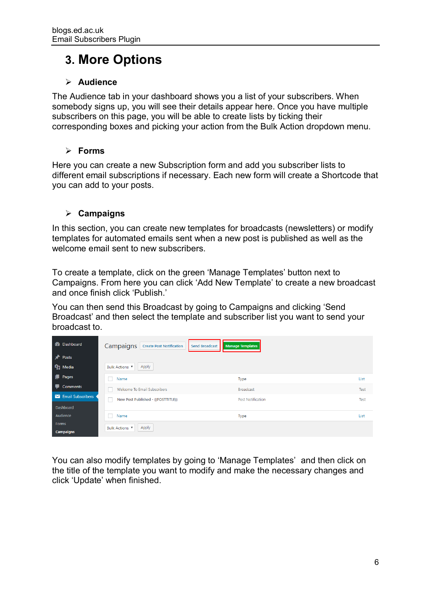# **3. More Options**

### **Audience**

The Audience tab in your dashboard shows you a list of your subscribers. When somebody signs up, you will see their details appear here. Once you have multiple subscribers on this page, you will be able to create lists by ticking their corresponding boxes and picking your action from the Bulk Action dropdown menu.

### **Forms**

Here you can create a new Subscription form and add you subscriber lists to different email subscriptions if necessary. Each new form will create a Shortcode that you can add to your posts.

### **Campaigns**

In this section, you can create new templates for broadcasts (newsletters) or modify templates for automated emails sent when a new post is published as well as the welcome email sent to new subscribers.

To create a template, click on the green 'Manage Templates' button next to Campaigns. From here you can click 'Add New Template' to create a new broadcast and once finish click 'Publish.'

You can then send this Broadcast by going to Campaigns and clicking 'Send Broadcast' and then select the template and subscriber list you want to send your broadcast to.

| <b>2</b> Dashboard   | Campaigns   Create Post Notification | <b>Manage Templates</b><br><b>Send Broadcast</b> |      |
|----------------------|--------------------------------------|--------------------------------------------------|------|
| <b>A</b> Posts       |                                      |                                                  |      |
| $\mathbf{Q}_1$ Media | Apply<br>Bulk Actions                |                                                  |      |
| <b>Pages</b>         | Name                                 | Type                                             | List |
| <b>Comments</b>      | Welcome To Email Subscribers         | <b>Broadcast</b>                                 | Test |
| Email Subscribers    | New Post Published - {{POSTTITLE}}   | <b>Post Notification</b>                         | Test |
| Dashboard            |                                      |                                                  |      |
| Audience             | Name                                 | <b>Type</b>                                      | List |
| Forms                | Apply<br><b>Bulk Actions</b> ▼       |                                                  |      |
| <b>Campaigns</b>     |                                      |                                                  |      |

You can also modify templates by going to 'Manage Templates' and then click on the title of the template you want to modify and make the necessary changes and click 'Update' when finished.